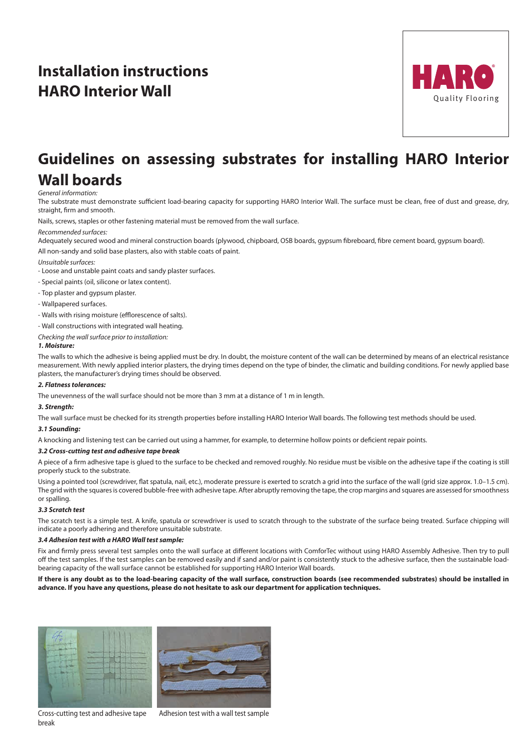# **Installation instructions HARO Interior Wall**



## **Guidelines on assessing substrates for installing HARO Interior Wall boards**

### *General information:*

The substrate must demonstrate sufficient load-bearing capacity for supporting HARO Interior Wall. The surface must be clean, free of dust and grease, dry, straight, firm and smooth.

Nails, screws, staples or other fastening material must be removed from the wall surface.

### *Recommended surfaces:*

Adequately secured wood and mineral construction boards (plywood, chipboard, OSB boards, gypsum fibreboard, fibre cement board, gypsum board). All non-sandy and solid base plasters, also with stable coats of paint.

*Unsuitable surfaces:* 

- Loose and unstable paint coats and sandy plaster surfaces.

- Special paints (oil, silicone or latex content).

- Top plaster and gypsum plaster.
- Wallpapered surfaces.
- Walls with rising moisture (efflorescence of salts).
- Wall constructions with integrated wall heating.

*Checking the wall surface prior to installation:* 

#### *1. Moisture:*

The walls to which the adhesive is being applied must be dry. In doubt, the moisture content of the wall can be determined by means of an electrical resistance measurement. With newly applied interior plasters, the drying times depend on the type of binder, the climatic and building conditions. For newly applied base plasters, the manufacturer's drying times should be observed.

#### *2. Flatness tolerances:*

The unevenness of the wall surface should not be more than 3 mm at a distance of 1 m in length.

## *3. Strength:*

The wall surface must be checked for its strength properties before installing HARO Interior Wall boards. The following test methods should be used.

## *3.1 Sounding:*

A knocking and listening test can be carried out using a hammer, for example, to determine hollow points or deficient repair points.

#### *3.2 Cross-cutting test and adhesive tape break*

A piece of a firm adhesive tape is glued to the surface to be checked and removed roughly. No residue must be visible on the adhesive tape if the coating is still properly stuck to the substrate.

Using a pointed tool (screwdriver, flat spatula, nail, etc.), moderate pressure is exerted to scratch a grid into the surface of the wall (grid size approx. 1.0–1.5 cm). The grid with the squares is covered bubble-free with adhesive tape. After abruptly removing the tape, the crop margins and squares are assessed for smoothness or spalling.

#### *3.3 Scratch test*

The scratch test is a simple test. A knife, spatula or screwdriver is used to scratch through to the substrate of the surface being treated. Surface chipping will indicate a poorly adhering and therefore unsuitable substrate.

#### *3.4 Adhesion test with a HARO Wall test sample:*

Fix and firmly press several test samples onto the wall surface at different locations with ComforTec without using HARO Assembly Adhesive. Then try to pull off the test samples. If the test samples can be removed easily and if sand and/or paint is consistently stuck to the adhesive surface, then the sustainable loadbearing capacity of the wall surface cannot be established for supporting HARO Interior Wall boards.

**If there is any doubt as to the load-bearing capacity of the wall surface, construction boards (see recommended substrates) should be installed in advance. If you have any questions, please do not hesitate to ask our department for application techniques.**



Cross-cutting test and adhesive tape break



Adhesion test with a wall test sample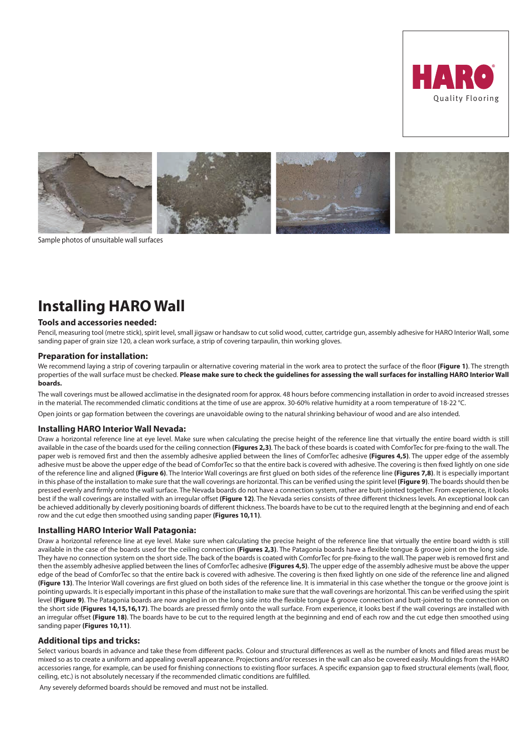



Sample photos of unsuitable wall surfaces

## **Installing HARO Wall**

## **Tools and accessories needed:**

Pencil, measuring tool (metre stick), spirit level, small jigsaw or handsaw to cut solid wood, cutter, cartridge gun, assembly adhesive for HARO Interior Wall, some sanding paper of grain size 120, a clean work surface, a strip of covering tarpaulin, thin working gloves.

## **Preparation for installation:**

We recommend laying a strip of covering tarpaulin or alternative covering material in the work area to protect the surface of the floor **(Figure 1)**. The strength properties of the wall surface must be checked. **Please make sure to check the guidelines for assessing the wall surfaces for installing HARO Interior Wall boards.**

The wall coverings must be allowed acclimatise in the designated room for approx. 48 hours before commencing installation in order to avoid increased stresses in the material. The recommended climatic conditions at the time of use are approx. 30-60% relative humidity at a room temperature of 18-22 °C.

Open joints or gap formation between the coverings are unavoidable owing to the natural shrinking behaviour of wood and are also intended.

## **Installing HARO Interior Wall Nevada:**

Draw a horizontal reference line at eye level. Make sure when calculating the precise height of the reference line that virtually the entire board width is still available in the case of the boards used for the ceiling connection **(Figures 2,3)**. The back of these boards is coated with ComforTec for pre-fixing to the wall. The paper web is removed first and then the assembly adhesive applied between the lines of ComforTec adhesive **(Figures 4,5)**. The upper edge of the assembly adhesive must be above the upper edge of the bead of ComforTec so that the entire back is covered with adhesive. The covering is then fixed lightly on one side of the reference line and aligned **(Figure 6)**. The Interior Wall coverings are first glued on both sides of the reference line **(Figures 7,8)**. It is especially important in this phase of the installation to make sure that the wall coverings are horizontal. This can be verified using the spirit level **(Figure 9)**. The boards should then be pressed evenly and firmly onto the wall surface. The Nevada boards do not have a connection system, rather are butt-jointed together. From experience, it looks best if the wall coverings are installed with an irregular offset **(Figure 12)**. The Nevada series consists of three different thickness levels. An exceptional look can be achieved additionally by cleverly positioning boards of different thickness. The boards have to be cut to the required length at the beginning and end of each row and the cut edge then smoothed using sanding paper **(Figures 10,11)**.

#### **Installing HARO Interior Wall Patagonia:**

Draw a horizontal reference line at eye level. Make sure when calculating the precise height of the reference line that virtually the entire board width is still available in the case of the boards used for the ceiling connection **(Figures 2,3)**. The Patagonia boards have a flexible tongue & groove joint on the long side. They have no connection system on the short side. The back of the boards is coated with ComforTec for pre-fixing to the wall. The paper web is removed first and then the assembly adhesive applied between the lines of ComforTec adhesive **(Figures 4,5)**. The upper edge of the assembly adhesive must be above the upper edge of the bead of ComforTec so that the entire back is covered with adhesive. The covering is then fixed lightly on one side of the reference line and aligned **(Figure 13)**. The Interior Wall coverings are first glued on both sides of the reference line. It is immaterial in this case whether the tongue or the groove joint is pointing upwards. It is especially important in this phase of the installation to make sure that the wall coverings are horizontal. This can be verified using the spirit level **(Figure 9)**. The Patagonia boards are now angled in on the long side into the flexible tongue & groove connection and butt-jointed to the connection on the short side **(Figures 14,15,16,17)**. The boards are pressed firmly onto the wall surface. From experience, it looks best if the wall coverings are installed with an irregular offset **(Figure 18)**. The boards have to be cut to the required length at the beginning and end of each row and the cut edge then smoothed using sanding paper **(Figures 10,11)**.

## **Additional tips and tricks:**

Select various boards in advance and take these from different packs. Colour and structural differences as well as the number of knots and filled areas must be mixed so as to create a uniform and appealing overall appearance. Projections and/or recesses in the wall can also be covered easily. Mouldings from the HARO accessories range, for example, can be used for finishing connections to existing floor surfaces. A specific expansion gap to fixed structural elements (wall, floor, ceiling, etc.) is not absolutely necessary if the recommended climatic conditions are fulfilled.

Any severely deformed boards should be removed and must not be installed.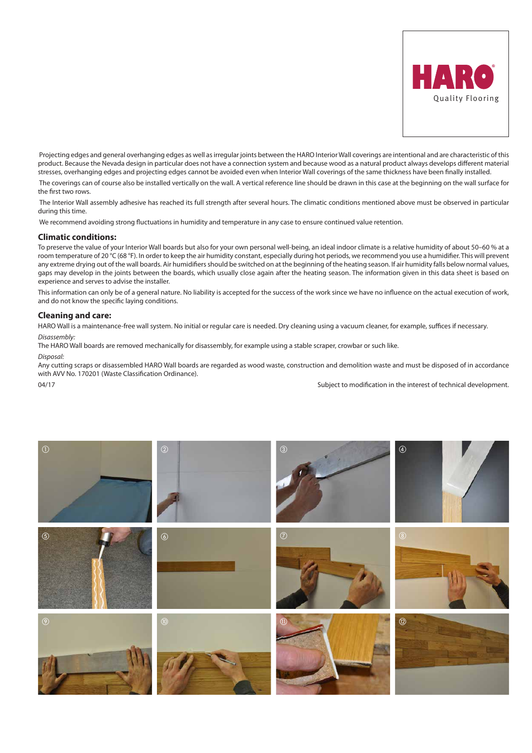

 Projecting edges and general overhanging edges as well as irregular joints between the HARO Interior Wall coverings are intentional and are characteristic of this product. Because the Nevada design in particular does not have a connection system and because wood as a natural product always develops different material stresses, overhanging edges and projecting edges cannot be avoided even when Interior Wall coverings of the same thickness have been finally installed.

 The coverings can of course also be installed vertically on the wall. A vertical reference line should be drawn in this case at the beginning on the wall surface for the first two rows.

 The Interior Wall assembly adhesive has reached its full strength after several hours. The climatic conditions mentioned above must be observed in particular during this time.

We recommend avoiding strong fluctuations in humidity and temperature in any case to ensure continued value retention.

## **Climatic conditions:**

To preserve the value of your Interior Wall boards but also for your own personal well-being, an ideal indoor climate is a relative humidity of about 50-60 % at a room temperature of 20 °C (68 °F). In order to keep the air humidity constant, especially during hot periods, we recommend you use a humidifier. This will prevent any extreme drying out of the wall boards. Air humidifiers should be switched on at the beginning of the heating season. If air humidity falls below normal values, gaps may develop in the joints between the boards, which usually close again after the heating season. The information given in this data sheet is based on experience and serves to advise the installer.

This information can only be of a general nature. No liability is accepted for the success of the work since we have no influence on the actual execution of work, and do not know the specific laying conditions.

#### **Cleaning and care:**

HARO Wall is a maintenance-free wall system. No initial or regular care is needed. Dry cleaning using a vacuum cleaner, for example, suffices if necessary. *Disassembly:* 

The HARO Wall boards are removed mechanically for disassembly, for example using a stable scraper, crowbar or such like.

## *Disposal:*

Any cutting scraps or disassembled HARO Wall boards are regarded as wood waste, construction and demolition waste and must be disposed of in accordance with AVV No. 170201 (Waste Classification Ordinance).

04/17 Subject to modification in the interest of technical development.